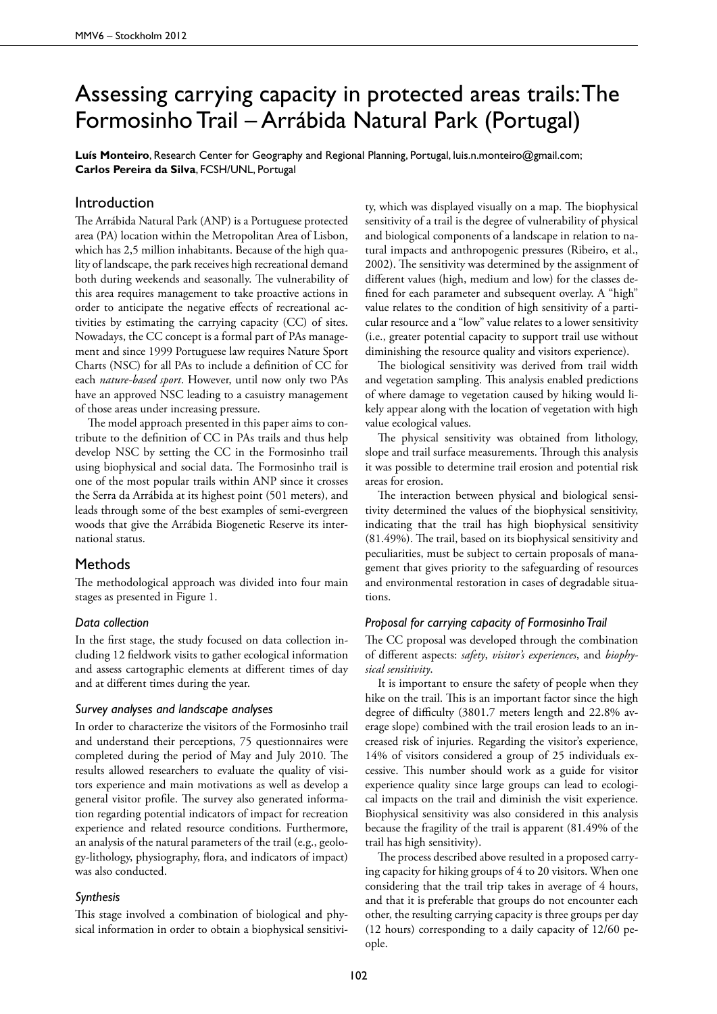# Assessing carrying capacity in protected areas trails: The Formosinho Trail – Arrábida Natural Park (Portugal)

**Luís Monteiro**, Research Center for Geography and Regional Planning, Portugal, luis.n.monteiro@gmail.com; **Carlos Pereira da Silva**, FCSH/UNL, Portugal

## Introduction

The Arrábida Natural Park (ANP) is a Portuguese protected area (PA) location within the Metropolitan Area of Lisbon, which has 2,5 million inhabitants. Because of the high quality of landscape, the park receives high recreational demand both during weekends and seasonally. The vulnerability of this area requires management to take proactive actions in order to anticipate the negative effects of recreational activities by estimating the carrying capacity (CC) of sites. Nowadays, the CC concept is a formal part of PAs management and since 1999 Portuguese law requires Nature Sport Charts (NSC) for all PAs to include a definition of CC for each *nature-based sport*. However, until now only two PAs have an approved NSC leading to a casuistry management of those areas under increasing pressure.

The model approach presented in this paper aims to contribute to the definition of CC in PAs trails and thus help develop NSC by setting the CC in the Formosinho trail using biophysical and social data. The Formosinho trail is one of the most popular trails within ANP since it crosses the Serra da Arrábida at its highest point (501 meters), and leads through some of the best examples of semi-evergreen woods that give the Arrábida Biogenetic Reserve its international status.

## Methods

The methodological approach was divided into four main stages as presented in Figure 1.

## *Data collection*

In the first stage, the study focused on data collection including 12 fieldwork visits to gather ecological information and assess cartographic elements at different times of day and at different times during the year.

#### *Survey analyses and landscape analyses*

In order to characterize the visitors of the Formosinho trail and understand their perceptions, 75 questionnaires were completed during the period of May and July 2010. The results allowed researchers to evaluate the quality of visitors experience and main motivations as well as develop a general visitor profile. The survey also generated information regarding potential indicators of impact for recreation experience and related resource conditions. Furthermore, an analysis of the natural parameters of the trail (e.g., geology-lithology, physiography, flora, and indicators of impact) was also conducted.

## *Synthesis*

This stage involved a combination of biological and physical information in order to obtain a biophysical sensitivi-

ty, which was displayed visually on a map. The biophysical sensitivity of a trail is the degree of vulnerability of physical and biological components of a landscape in relation to natural impacts and anthropogenic pressures (Ribeiro, et al., 2002). The sensitivity was determined by the assignment of different values (high, medium and low) for the classes defined for each parameter and subsequent overlay. A "high" value relates to the condition of high sensitivity of a particular resource and a "low" value relates to a lower sensitivity (i.e., greater potential capacity to support trail use without diminishing the resource quality and visitors experience).

The biological sensitivity was derived from trail width and vegetation sampling. This analysis enabled predictions of where damage to vegetation caused by hiking would likely appear along with the location of vegetation with high value ecological values.

The physical sensitivity was obtained from lithology, slope and trail surface measurements. Through this analysis it was possible to determine trail erosion and potential risk areas for erosion.

The interaction between physical and biological sensitivity determined the values of the biophysical sensitivity, indicating that the trail has high biophysical sensitivity (81.49%). The trail, based on its biophysical sensitivity and peculiarities, must be subject to certain proposals of management that gives priority to the safeguarding of resources and environmental restoration in cases of degradable situations.

#### *Proposal for carrying capacity of Formosinho Trail*

The CC proposal was developed through the combination of different aspects: *safety*, *visitor's experiences*, and *biophysical sensitivity*.

It is important to ensure the safety of people when they hike on the trail. This is an important factor since the high degree of difficulty (3801.7 meters length and 22.8% average slope) combined with the trail erosion leads to an increased risk of injuries. Regarding the visitor's experience, 14% of visitors considered a group of 25 individuals excessive. This number should work as a guide for visitor experience quality since large groups can lead to ecological impacts on the trail and diminish the visit experience. Biophysical sensitivity was also considered in this analysis because the fragility of the trail is apparent (81.49% of the trail has high sensitivity).

The process described above resulted in a proposed carrying capacity for hiking groups of 4 to 20 visitors. When one considering that the trail trip takes in average of 4 hours, and that it is preferable that groups do not encounter each other, the resulting carrying capacity is three groups per day (12 hours) corresponding to a daily capacity of 12/60 people.